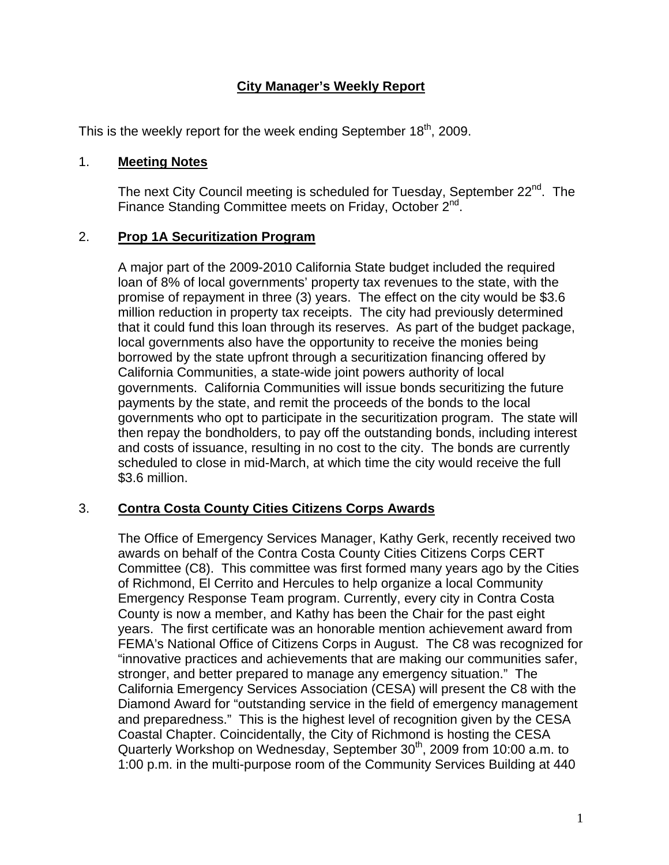#### **City Manager's Weekly Report**

This is the weekly report for the week ending September  $18<sup>th</sup>$ , 2009.

#### 1. **Meeting Notes**

The next City Council meeting is scheduled for Tuesday, September 22<sup>nd</sup>. The Finance Standing Committee meets on Friday, October 2<sup>nd</sup>.

#### 2. **Prop 1A Securitization Program**

A major part of the 2009-2010 California State budget included the required loan of 8% of local governments' property tax revenues to the state, with the promise of repayment in three (3) years. The effect on the city would be \$3.6 million reduction in property tax receipts. The city had previously determined that it could fund this loan through its reserves. As part of the budget package, local governments also have the opportunity to receive the monies being borrowed by the state upfront through a securitization financing offered by California Communities, a state-wide joint powers authority of local governments. California Communities will issue bonds securitizing the future payments by the state, and remit the proceeds of the bonds to the local governments who opt to participate in the securitization program. The state will then repay the bondholders, to pay off the outstanding bonds, including interest and costs of issuance, resulting in no cost to the city. The bonds are currently scheduled to close in mid-March, at which time the city would receive the full \$3.6 million.

#### 3. **Contra Costa County Cities Citizens Corps Awards**

The Office of Emergency Services Manager, Kathy Gerk, recently received two awards on behalf of the Contra Costa County Cities Citizens Corps CERT Committee (C8). This committee was first formed many years ago by the Cities of Richmond, El Cerrito and Hercules to help organize a local Community Emergency Response Team program. Currently, every city in Contra Costa County is now a member, and Kathy has been the Chair for the past eight years. The first certificate was an honorable mention achievement award from FEMA's National Office of Citizens Corps in August. The C8 was recognized for "innovative practices and achievements that are making our communities safer, stronger, and better prepared to manage any emergency situation." The California Emergency Services Association (CESA) will present the C8 with the Diamond Award for "outstanding service in the field of emergency management and preparedness." This is the highest level of recognition given by the CESA Coastal Chapter. Coincidentally, the City of Richmond is hosting the CESA Quarterly Workshop on Wednesday, September 30<sup>th</sup>, 2009 from 10:00 a.m. to 1:00 p.m. in the multi-purpose room of the Community Services Building at 440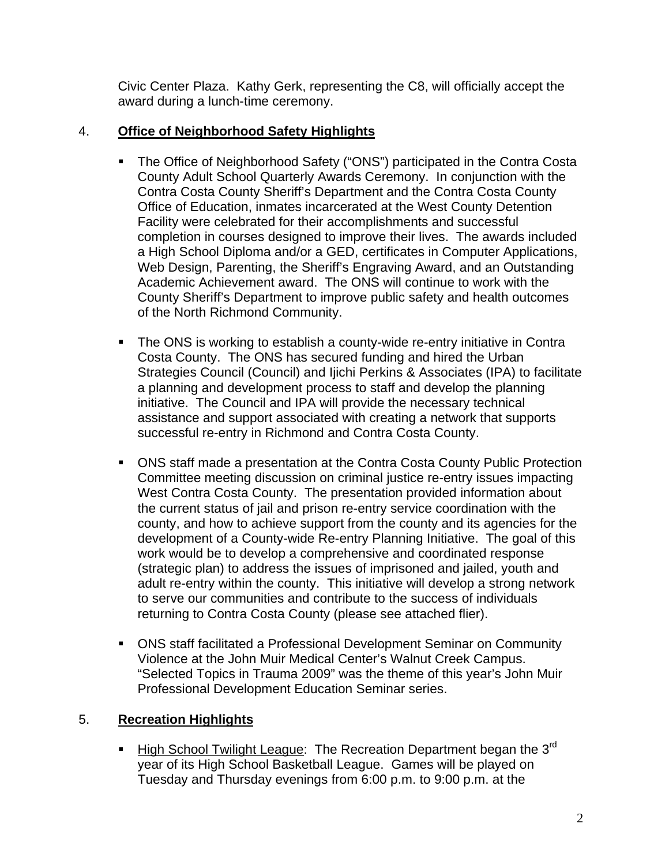Civic Center Plaza. Kathy Gerk, representing the C8, will officially accept the award during a lunch-time ceremony.

#### 4. **Office of Neighborhood Safety Highlights**

- The Office of Neighborhood Safety ("ONS") participated in the Contra Costa County Adult School Quarterly Awards Ceremony. In conjunction with the Contra Costa County Sheriff's Department and the Contra Costa County Office of Education, inmates incarcerated at the West County Detention Facility were celebrated for their accomplishments and successful completion in courses designed to improve their lives. The awards included a High School Diploma and/or a GED, certificates in Computer Applications, Web Design, Parenting, the Sheriff's Engraving Award, and an Outstanding Academic Achievement award. The ONS will continue to work with the County Sheriff's Department to improve public safety and health outcomes of the North Richmond Community.
- The ONS is working to establish a county-wide re-entry initiative in Contra Costa County. The ONS has secured funding and hired the Urban Strategies Council (Council) and Ijichi Perkins & Associates (IPA) to facilitate a planning and development process to staff and develop the planning initiative. The Council and IPA will provide the necessary technical assistance and support associated with creating a network that supports successful re-entry in Richmond and Contra Costa County.
- ONS staff made a presentation at the Contra Costa County Public Protection Committee meeting discussion on criminal justice re-entry issues impacting West Contra Costa County. The presentation provided information about the current status of jail and prison re-entry service coordination with the county, and how to achieve support from the county and its agencies for the development of a County-wide Re-entry Planning Initiative. The goal of this work would be to develop a comprehensive and coordinated response (strategic plan) to address the issues of imprisoned and jailed, youth and adult re-entry within the county. This initiative will develop a strong network to serve our communities and contribute to the success of individuals returning to Contra Costa County (please see attached flier).
- ONS staff facilitated a Professional Development Seminar on Community Violence at the John Muir Medical Center's Walnut Creek Campus. "Selected Topics in Trauma 2009" was the theme of this year's John Muir Professional Development Education Seminar series.

### 5. **Recreation Highlights**

High School Twilight League: The Recreation Department began the 3<sup>rd</sup> year of its High School Basketball League. Games will be played on Tuesday and Thursday evenings from 6:00 p.m. to 9:00 p.m. at the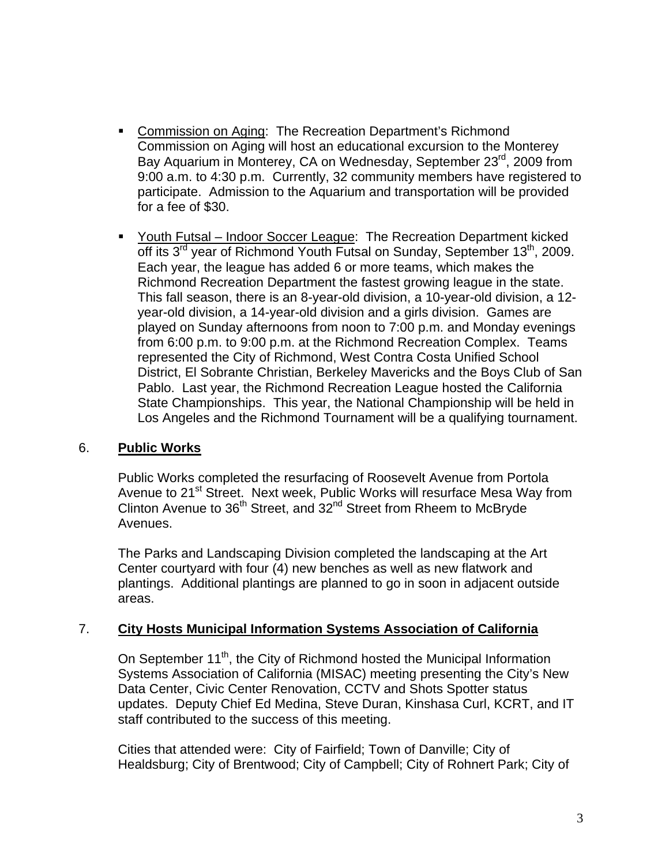- Commission on Aging: The Recreation Department's Richmond Commission on Aging will host an educational excursion to the Monterey Bay Aquarium in Monterey, CA on Wednesday, September 23<sup>rd</sup>, 2009 from 9:00 a.m. to 4:30 p.m. Currently, 32 community members have registered to participate. Admission to the Aquarium and transportation will be provided for a fee of \$30.
- Youth Futsal Indoor Soccer League: The Recreation Department kicked off its  $3^{rd}$  year of Richmond Youth Futsal on Sunday, September 13<sup>th</sup>, 2009. Each year, the league has added 6 or more teams, which makes the Richmond Recreation Department the fastest growing league in the state. This fall season, there is an 8-year-old division, a 10-year-old division, a 12 year-old division, a 14-year-old division and a girls division. Games are played on Sunday afternoons from noon to 7:00 p.m. and Monday evenings from 6:00 p.m. to 9:00 p.m. at the Richmond Recreation Complex. Teams represented the City of Richmond, West Contra Costa Unified School District, El Sobrante Christian, Berkeley Mavericks and the Boys Club of San Pablo. Last year, the Richmond Recreation League hosted the California State Championships. This year, the National Championship will be held in Los Angeles and the Richmond Tournament will be a qualifying tournament.

#### 6. **Public Works**

Public Works completed the resurfacing of Roosevelt Avenue from Portola Avenue to 21<sup>st</sup> Street. Next week, Public Works will resurface Mesa Way from Clinton Avenue to 36<sup>th</sup> Street, and 32<sup>nd</sup> Street from Rheem to McBryde Avenues.

The Parks and Landscaping Division completed the landscaping at the Art Center courtyard with four (4) new benches as well as new flatwork and plantings. Additional plantings are planned to go in soon in adjacent outside areas.

#### 7. **City Hosts Municipal Information Systems Association of California**

On September 11<sup>th</sup>, the City of Richmond hosted the Municipal Information Systems Association of California (MISAC) meeting presenting the City's New Data Center, Civic Center Renovation, CCTV and Shots Spotter status updates. Deputy Chief Ed Medina, Steve Duran, Kinshasa Curl, KCRT, and IT staff contributed to the success of this meeting.

Cities that attended were: City of Fairfield; Town of Danville; City of Healdsburg; City of Brentwood; City of Campbell; City of Rohnert Park; City of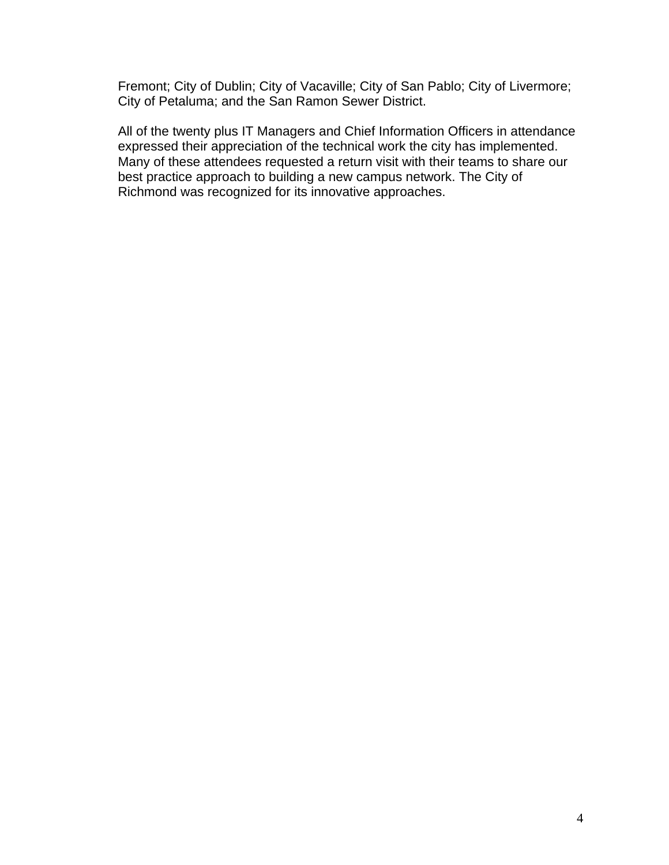Fremont; City of Dublin; City of Vacaville; City of San Pablo; City of Livermore; City of Petaluma; and the San Ramon Sewer District.

All of the twenty plus IT Managers and Chief Information Officers in attendance expressed their appreciation of the technical work the city has implemented. Many of these attendees requested a return visit with their teams to share our best practice approach to building a new campus network. The City of Richmond was recognized for its innovative approaches.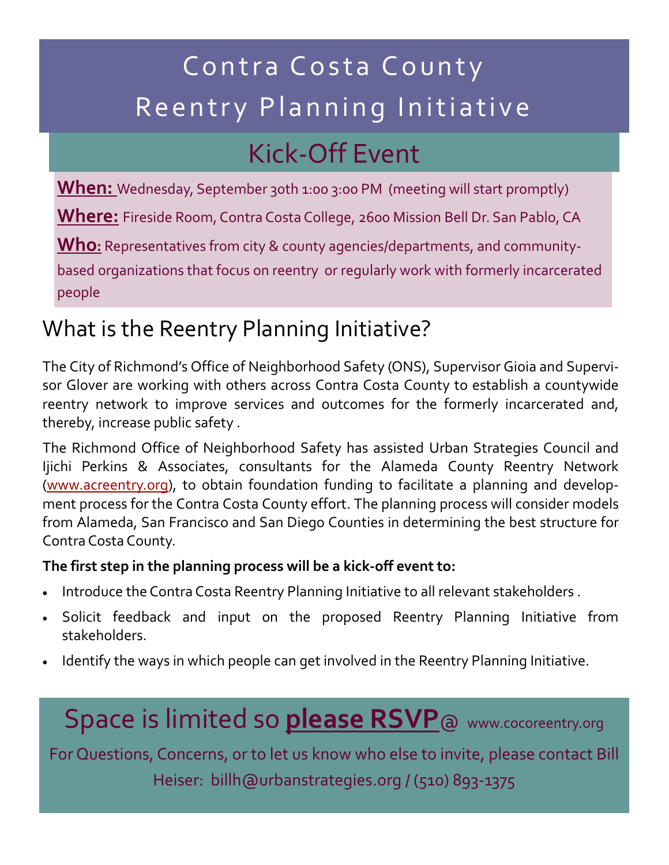# Contra Costa County Reentry Planning Initiative

# Kick-Off Event

When: Wednesday, September 30th 1:00 3:00 PM (meeting will start promptly) When: Wednesday, September 30th 1:00 3:00 PM (meeting will start promptly)

Where: Fireside Room, Contra Costa College, 2600 Mission Bell Dr. San Pablo, CA Where: Fireside Room, Contra Costa College, 2600 Mission Bell Dr. San Pablo, CA

Who: Representatives from city & county agencies/departments, and Who: Representatives from city & county agencies/departments, and community-

based organizations that focus on reentry or regularly work with formerly incarcerated people

## What is the Reentry Planning Initiative?

The City of Richmond's Office of Neighborhood Safety (ONS), Supervisor Gioia and Supervisor Glover are working with others across Contra Costa County to establish a countywide reentry network to improve services and outcomes for the formerly incarcerated and, thereby, increase public safety .

The Richmond Office of Neighborhood Safety has assisted Urban Strategies Council and Ijichi Perkins & Associates, consultants for the Alameda County Reentry Network (www.acreentry.org), to obtain foundation funding to facilitate a planning and development process for the Contra Costa County effort. The planning process will consider models from Alameda, San Francisco and San Diego Counties in determining the best structure for Contra Costa County.

### The first step in the planning process will be a kick-off event to:

- Introduce the Contra Costa Reentry Planning Initiative to all relevant stakeholders .
- Solicit feedback and input on the proposed Reentry Planning Initiative from stakeholders.
- Identify the ways in which people can get involved in the Reentry Planning Initiative.

# Space is limited so **please RSVP**@ www.cocoreentry.org

For Questions, Concerns, or to let us know who else to invite, please contact Bill Heiser: billh@urbanstrategies.org / (510) 893-1375